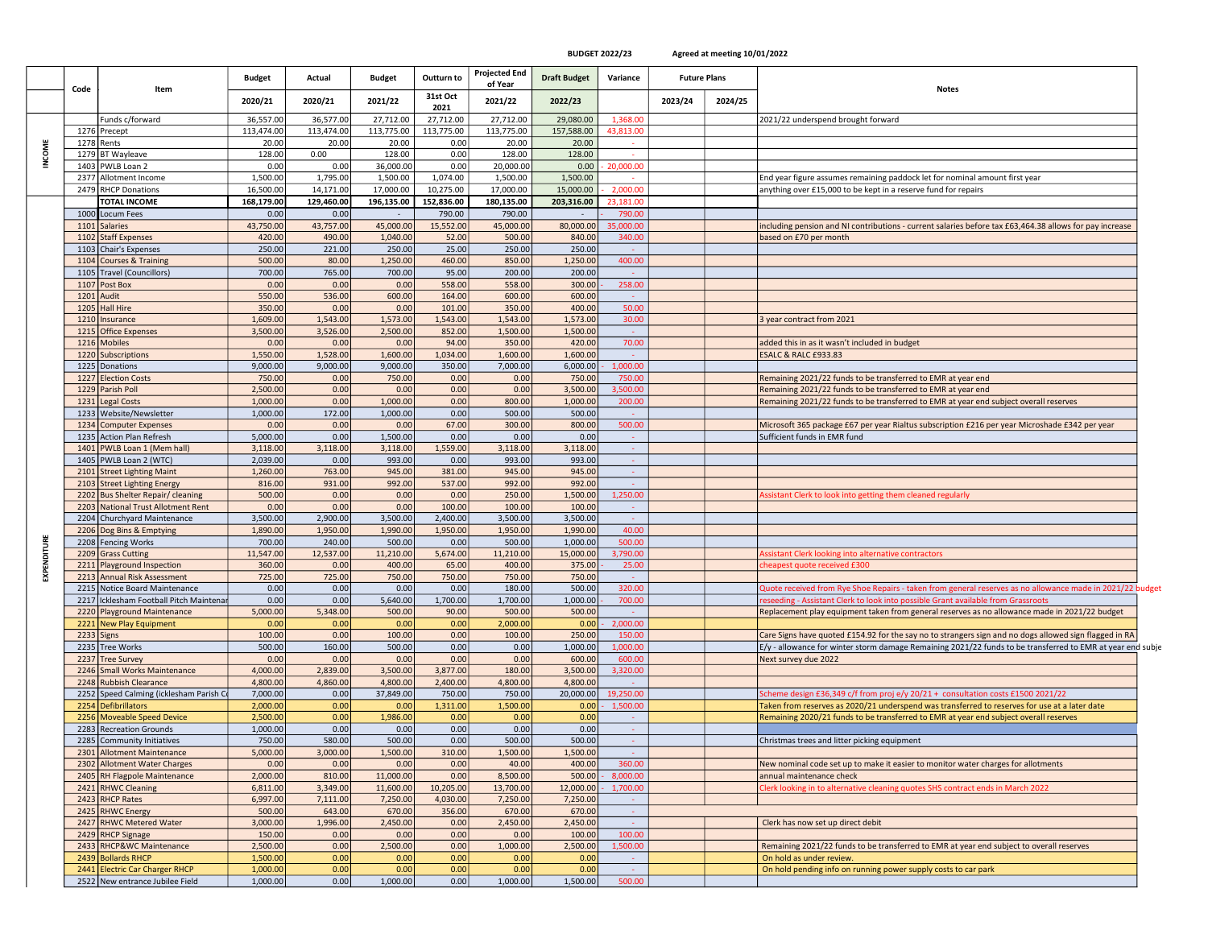BUDGET 2022/23 Agreed at meeting 10/01/2022

|               | Code       | Item                                                        | <b>Budget</b>        | Actual           | <b>Budget</b>    | Outturn to       | Projected End<br>of Year | <b>Draft Budget</b> | Variance       | <b>Future Plans</b> |         | <b>Notes</b>                                                                                               |  |
|---------------|------------|-------------------------------------------------------------|----------------------|------------------|------------------|------------------|--------------------------|---------------------|----------------|---------------------|---------|------------------------------------------------------------------------------------------------------------|--|
|               |            |                                                             | 2020/21              | 2020/21          | 2021/22          | 31st Oct<br>2021 | 2021/22                  | 2022/23             |                | 2023/24             | 2024/25 |                                                                                                            |  |
|               |            | Funds c/forward                                             | 36,557.00            | 36,577.00        | 27,712.00        | 27,712.00        | 27,712.00                | 29,080.00           | 1,368.00       |                     |         | 2021/22 underspend brought forward                                                                         |  |
|               |            | 1276 Precept                                                | 113,474.00           | 113,474.00       | 113,775.00       | 113,775.00       | 113,775.00               | 157,588.00          | 43,813.00      |                     |         |                                                                                                            |  |
|               |            | 1278 Rents                                                  | 20.00                | 20.00            | 20.00            | 0.00             | 20.00                    | 20.00               | $\sim$         |                     |         |                                                                                                            |  |
| <b>INCOME</b> |            | 1279 BT Wayleave                                            | 128.00               | 0.00             | 128.00           | 0.00             | 128.00                   | 128.00              |                |                     |         |                                                                                                            |  |
|               |            | 1403 PWLB Loan 2                                            | 0.00                 | 0.00             | 36,000.00        | 0.00             | 20,000.00                | 0.00                | 20,000.00      |                     |         |                                                                                                            |  |
|               |            | 2377 Allotment Income                                       | 1,500.00             | 1,795.00         | 1,500.00         | 1,074.00         | 1,500.00                 | 1,500.00            |                |                     |         | End year figure assumes remaining paddock let for nominal amount first year                                |  |
|               | 2479       | <b>RHCP Donations</b>                                       | 16,500.00            | 14,171.00        | 17,000.00        | 10,275.00        | 17,000.00                | 15,000.00           | 2.000.00       |                     |         | anything over £15,000 to be kept in a reserve fund for repairs                                             |  |
|               |            | <b>TOTAL INCOME</b>                                         | 168,179.00           | 129,460.00       | 196,135.00       | 152,836.00       | 180,135.00               | 203,316.00          | 3,181.0        |                     |         |                                                                                                            |  |
|               |            | 1000 Locum Fees                                             | 0.00                 | 0.00             |                  | 790.00           | 790.00                   |                     | 790.00         |                     |         |                                                                                                            |  |
|               | 1101       | <b>Salaries</b>                                             | 43,750.00            | 43,757.00        | 45,000.00        | 15,552.00        | 45,000.00                | 80,000.00           | 35,000.00      |                     |         | including pension and NI contributions - current salaries before tax £63,464.38 allows for pay increase    |  |
|               |            | 1102 Staff Expenses                                         | 420.00               | 490.00           | 1,040.00         | 52.00            | 500.00                   | 840.00              | 340.00         |                     |         | based on £70 per month                                                                                     |  |
|               |            | 1103 Chair's Expenses                                       | 250.00               | 221.00           | 250.00           | 25.00            | 250.00                   | 250.00              | n.             |                     |         |                                                                                                            |  |
|               |            | 1104 Courses & Training                                     | 500.00               | 80.00            | 1,250.00         | 460.00           | 850.00                   | 1,250.00            | 400.00         |                     |         |                                                                                                            |  |
|               |            | 1105 Travel (Councillors)                                   | 700.00               | 765.00           | 700.00           | 95.00            | 200.00                   | 200.00              |                |                     |         |                                                                                                            |  |
|               |            | 1107 Post Box                                               | 0.00                 | 0.00             | 0.00             | 558.00           | 558.00                   | 300.00              | 258.00         |                     |         |                                                                                                            |  |
|               | 1201       | Audit                                                       | 550.00               | 536.00           | 600.00           | 164.00           | 600.00                   | 600.00              |                |                     |         |                                                                                                            |  |
|               |            | 1205 Hall Hire                                              | 350.00               | 0.00             | 0.00             | 101.00           | 350.00                   | 400.00              | 50.00          |                     |         |                                                                                                            |  |
|               |            | 1210 Insurance                                              | 1,609.00             | 1,543.00         | 1,573.00         | 1,543.00         | 1,543.00                 | 1,573.00            | 30.00          |                     |         | 3 year contract from 2021                                                                                  |  |
|               |            | 1215 Office Expenses                                        | 3,500.00             | 3,526.00         | 2,500.00         | 852.00           | 1,500.00                 | 1,500.00            | - 1            |                     |         |                                                                                                            |  |
|               |            | 1216 Mobiles                                                | 0.00                 | 0.00             | 0.00             | 94.00            | 350.00                   | 420.00              | 70.00          |                     |         | added this in as it wasn't included in budget                                                              |  |
|               | 1220       | Subscriptions                                               | 1,550.00             | 1,528.00         | 1,600.00         | 1,034.00         | 1,600.00                 | 1,600.00            |                |                     |         | <b>ESALC &amp; RALC £933.83</b>                                                                            |  |
|               |            | 1225 Donations                                              | 9,000.00             | 9,000.00         | 9,000.00         | 350.00           | 7,000.00                 | 6,000.00            | 1,000.00       |                     |         |                                                                                                            |  |
|               | 1227       | <b>Election Costs</b>                                       | 750.00               | 0.00             | 750.00           | 0.00             | 0.00                     | 750.00              | 750.00         |                     |         | Remaining 2021/22 funds to be transferred to EMR at year end                                               |  |
|               | 1229       | Parish Poll                                                 | 2,500.00             | 0.00             | 0.00             | 0.00             | 0.00                     | 3,500.00            | 3,500.00       |                     |         | Remaining 2021/22 funds to be transferred to EMR at year end                                               |  |
|               |            | 1231 Legal Costs                                            | 1,000.00             | 0.00             | 1,000.00         | 0.00             | 800.00                   | 1,000.00            | 200.00         |                     |         | Remaining 2021/22 funds to be transferred to EMR at year end subject overall reserves                      |  |
|               |            | 1233 Website/Newsletter                                     | 1,000.00             | 172.00           | 1,000.00         | 0.00             | 500.00                   | 500.00              | - 4            |                     |         |                                                                                                            |  |
|               |            | 1234 Computer Expenses                                      | 0.00                 | 0.00             | 0.00             | 67.00            | 300.00                   | 800.00              | 500.00         |                     |         | Microsoft 365 package £67 per year Rialtus subscription £216 per year Microshade £342 per year             |  |
|               |            | 1235 Action Plan Refresh                                    | 5,000.00             | 0.00             | 1,500.00         | 0.00             | 0.00                     | 0.00                | $\sim$         |                     |         | Sufficient funds in EMR fund                                                                               |  |
|               |            | 1401 PWLB Loan 1 (Mem hall)                                 | 3,118.00             | 3,118.00         | 3,118.00         | 1,559.00         | 3,118.00                 | 3,118.00            | $\sim$         |                     |         |                                                                                                            |  |
|               |            | 1405 PWLB Loan 2 (WTC)                                      | 2,039.00<br>1,260.00 | 0.00<br>763.00   | 993.00<br>945.00 | 0.00<br>381.00   | 993.00<br>945.00         | 993.00<br>945.00    | $\sim$         |                     |         |                                                                                                            |  |
|               | 2103       | 2101 Street Lighting Maint<br><b>Street Lighting Energy</b> | 816.00               | 931.00           | 992.00           | 537.00           | 992.00                   | 992.00              | $\sim$         |                     |         |                                                                                                            |  |
|               |            | 2202 Bus Shelter Repair/ cleaning                           | 500.00               | 0.00             | 0.00             | 0.00             | 250.00                   | 1,500.00            | 1,250.00       |                     |         | ssistant Clerk to look into getting them cleaned regularly                                                 |  |
|               |            | 2203 National Trust Allotment Rent                          | 0.00                 | 0.00             | 0.00             | 100.00           | 100.00                   | 100.00              |                |                     |         |                                                                                                            |  |
|               |            | 2204 Churchyard Maintenance                                 | 3,500.00             | 2,900.00         | 3,500.00         | 2,400.00         | 3,500.00                 | 3,500.00            | - 1            |                     |         |                                                                                                            |  |
|               |            | 2206 Dog Bins & Emptying                                    | 1,890.00             | 1,950.00         | 1,990.00         | 1,950.00         | 1,950.00                 | 1,990.00            | 40.00          |                     |         |                                                                                                            |  |
|               |            | 2208 Fencing Works                                          | 700.00               | 240.00           | 500.00           | 0.00             | 500.00                   | 1,000.00            | 500.00         |                     |         |                                                                                                            |  |
| EXPENDITURE   |            | 2209 Grass Cutting                                          | 11,547.00            | 12,537.00        | 11,210.00        | 5,674.00         | 11,210.00                | 15,000.00           | 3,790.00       |                     |         | ssistant Clerk looking into alternative contractors                                                        |  |
|               |            | 2211 Playground Inspection                                  | 360.00               | 0.00             | 400.00           | 65.00            | 400.00                   | 375.00              | 25.00          |                     |         | cheapest quote received £300                                                                               |  |
|               |            | 2213 Annual Risk Assessment                                 | 725.00               | 725.00           | 750.00           | 750.00           | 750.00                   | 750.00              | <b>College</b> |                     |         |                                                                                                            |  |
|               |            | 2215 Notice Board Maintenance                               | 0.00                 | 0.00             | 0.00             | 0.00             | 180.00                   | 500.00              | 320.00         |                     |         | Quote received from Rye Shoe Repairs - taken from general reserves as no allowance made in 2021/22 budget  |  |
|               |            | 2217 Icklesham Football Pitch Maintenar                     | 0.00                 | 0.00             | 5,640.00         | 1,700.00         | 1,700.00                 | 1,000.00            | 700.00         |                     |         | reseeding - Assistant Clerk to look into possible Grant available from Grassroots                          |  |
|               |            | 2220 Playground Maintenance                                 | 5,000.00             | 5,348.00         | 500.00           | 90.00            | 500.00                   | 500.00              |                |                     |         | Replacement play equipment taken from general reserves as no allowance made in 2021/22 budget              |  |
|               |            | 2221 New Play Equipment                                     | 0.00                 | 0.00             | 0.00             | 0.00             | 2,000.00                 | 0.00                | 2,000.00       |                     |         |                                                                                                            |  |
|               | 2233 Signs |                                                             | 100.00               | 0.00             | 100.00           | 0.00             | 100.00                   | 250.00              | 150.00         |                     |         | Care Signs have quoted £154.92 for the say no to strangers sign and no dogs allowed sign flagged in RA     |  |
|               |            | 2235 Tree Works                                             | 500.00               | 160.00           | 500.00           | 0.00             | 0.00                     | 1,000.00            | 1,000.00       |                     |         | E/y - allowance for winter storm damage Remaining 2021/22 funds to be transferred to EMR at year end subje |  |
|               |            | 2237 Tree Survey                                            | 0.00                 | 0.00             | 0.00             | 0.00             | 0.00                     | 600.00              | 600.00         |                     |         | Next survey due 2022                                                                                       |  |
|               |            | 2246 Small Works Maintenance                                | 4,000.00             | 2,839.00         | 3,500.00         | 3,877.00         | 180.00                   | 3,500.00            | 3,320.00       |                     |         |                                                                                                            |  |
|               |            | 2248 Rubbish Clearance                                      | 4,800.00             | 4,860.00         | 4,800.00         | 2,400.00         | 4,800.00                 | 4,800.00            | $\sim$         |                     |         |                                                                                                            |  |
|               | 2252       | Speed Calming (icklesham Parish Co                          | 7,000.00             | 0.00             | 37,849.00        | 750.00           | 750.00                   | 20,000.00           | 19,250.00      |                     |         | Scheme design £36,349 c/f from proj e/y 20/21 + consultation costs £1500 2021/22                           |  |
|               | 2254       | <b>Defibrillators</b>                                       | 2,000.00             | 0.00             | 0.00             | 1,311.00         | 1,500.00                 | 0.00                | 1,500.00       |                     |         | Taken from reserves as 2020/21 underspend was transferred to reserves for use at a later date              |  |
|               |            | 2256 Moveable Speed Device                                  | 2,500.00             | 0.00             | 1,986.00         | 0.00             | 0.00                     | 0.00                |                |                     |         | Remaining 2020/21 funds to be transferred to EMR at year end subject overall reserves                      |  |
|               |            | 2283 Recreation Grounds                                     | 1,000.00             | 0.00             | 0.00             | 0.00             | 0.00                     | 0.00                | 140            |                     |         |                                                                                                            |  |
|               |            | 2285 Community Initiatives                                  | 750.00               | 580.00           | 500.00           | 0.00             | 500.00                   | 500.00              | $\sim$         |                     |         | Christmas trees and litter picking equipment                                                               |  |
|               |            | 2301 Allotment Maintenance<br>2302 Allotment Water Charges  | 5,000.00<br>0.00     | 3,000.00<br>0.00 | 1,500.00<br>0.00 | 310.00<br>0.00   | 1,500.00<br>40.00        | 1,500.00<br>400.00  | 360.00         |                     |         | New nominal code set up to make it easier to monitor water charges for allotments                          |  |
|               |            | 2405 RH Flagpole Maintenance                                | 2,000.00             | 810.00           | 11,000.00        | 0.00             | 8,500.00                 | 500.00              | 8,000.00       |                     |         | annual maintenance check                                                                                   |  |
|               |            | 2421 RHWC Cleaning                                          | 6,811.00             | 3,349.00         | 11,600.00        | 10,205.00        | 13,700.00                | 12,000.00           | 1,700.00       |                     |         | Clerk looking in to alternative cleaning quotes SHS contract ends in March 2022                            |  |
|               |            | 2423 RHCP Rates                                             | 6,997.00             | 7,111.00         | 7,250.00         | 4,030.00         | 7,250.00                 | 7,250.00            |                |                     |         |                                                                                                            |  |
|               |            | 2425 RHWC Energy                                            | 500.00               | 643.00           | 670.00           | 356.00           | 670.00                   | 670.00              | $\sim$         |                     |         |                                                                                                            |  |
|               |            | 2427 RHWC Metered Water                                     | 3,000.00             | 1,996.00         | 2,450.00         | 0.00             | 2,450.00                 | 2,450.00            | $\omega$       |                     |         | Clerk has now set up direct debit                                                                          |  |
|               |            | 2429 RHCP Signage                                           | 150.00               | 0.00             | 0.00             | 0.00             | 0.00                     | 100.00              | 100.00         |                     |         |                                                                                                            |  |
|               |            | 2433 RHCP&WC Maintenance                                    | 2,500.00             | 0.00             | 2,500.00         | 0.00             | 1,000.00                 | 2,500.00            | 1,500.00       |                     |         | Remaining 2021/22 funds to be transferred to EMR at year end subject to overall reserves                   |  |
|               |            | 2439 Bollards RHCP                                          | 1,500.00             | 0.00             | 0.00             | 0.00             | 0.00                     | 0.00                | $\sim$         |                     |         | On hold as under review.                                                                                   |  |
|               |            | 2441 Electric Car Charger RHCP                              | 1,000.00             | 0.00             | 0.00             | 0.00             | 0.00                     | 0.00                | $\sim$         |                     |         | On hold pending info on running power supply costs to car park                                             |  |
|               |            | 2522 New entrance Jubilee Field                             | 1,000.00             | 0.00             | 1,000.00         | 0.00             | 1,000.00                 | 1,500.00            | 500.00         |                     |         |                                                                                                            |  |